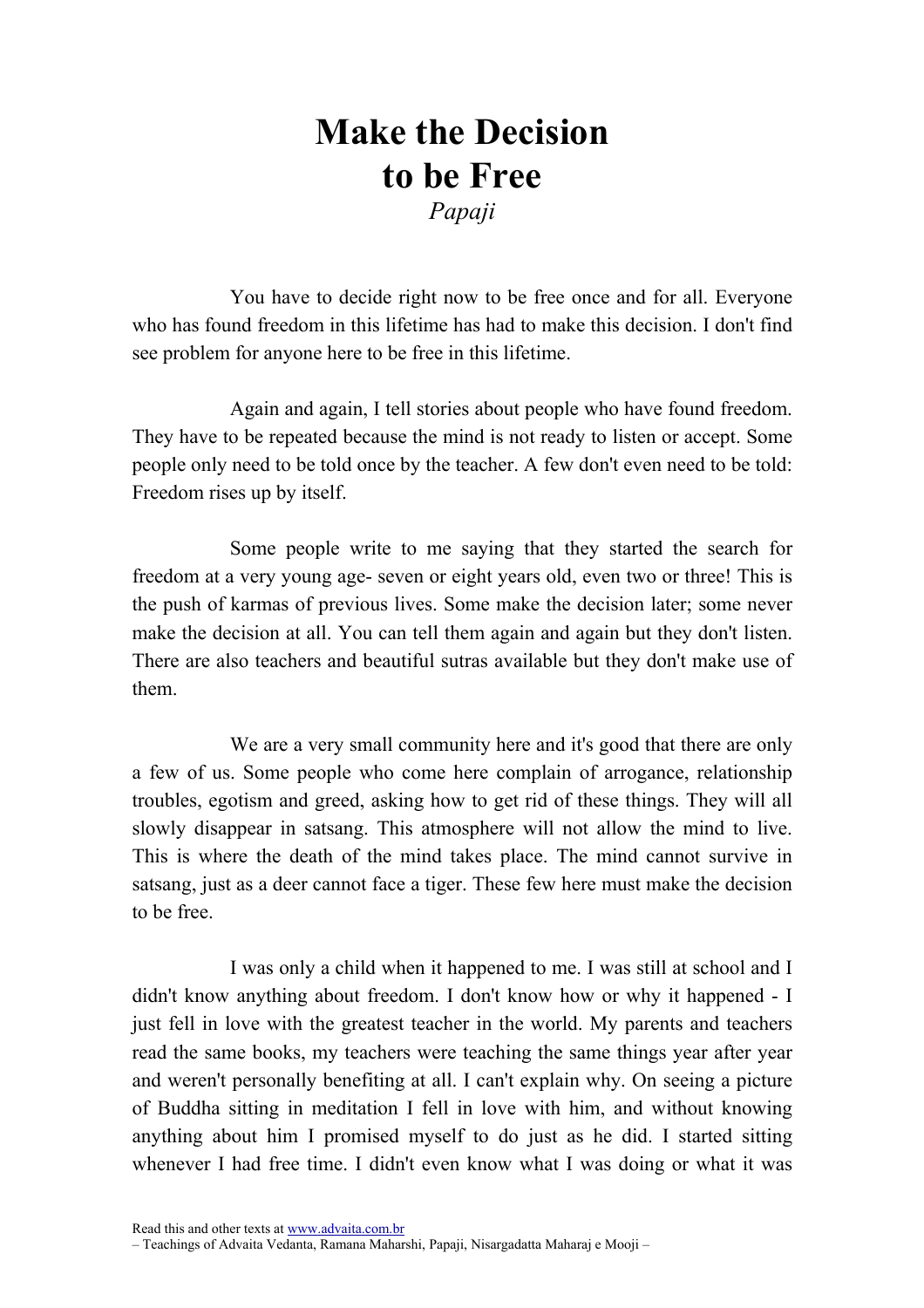## Make the Decision to be Free

Papaji

You have to decide right now to be free once and for all. Everyone who has found freedom in this lifetime has had to make this decision. I don't find see problem for anyone here to be free in this lifetime.

Again and again, I tell stories about people who have found freedom. They have to be repeated because the mind is not ready to listen or accept. Some people only need to be told once by the teacher. A few don't even need to be told: Freedom rises up by itself.

Some people write to me saying that they started the search for freedom at a very young age- seven or eight years old, even two or three! This is the push of karmas of previous lives. Some make the decision later; some never make the decision at all. You can tell them again and again but they don't listen. There are also teachers and beautiful sutras available but they don't make use of them.

We are a very small community here and it's good that there are only a few of us. Some people who come here complain of arrogance, relationship troubles, egotism and greed, asking how to get rid of these things. They will all slowly disappear in satsang. This atmosphere will not allow the mind to live. This is where the death of the mind takes place. The mind cannot survive in satsang, just as a deer cannot face a tiger. These few here must make the decision to be free.

I was only a child when it happened to me. I was still at school and I didn't know anything about freedom. I don't know how or why it happened - I just fell in love with the greatest teacher in the world. My parents and teachers read the same books, my teachers were teaching the same things year after year and weren't personally benefiting at all. I can't explain why. On seeing a picture of Buddha sitting in meditation I fell in love with him, and without knowing anything about him I promised myself to do just as he did. I started sitting whenever I had free time. I didn't even know what I was doing or what it was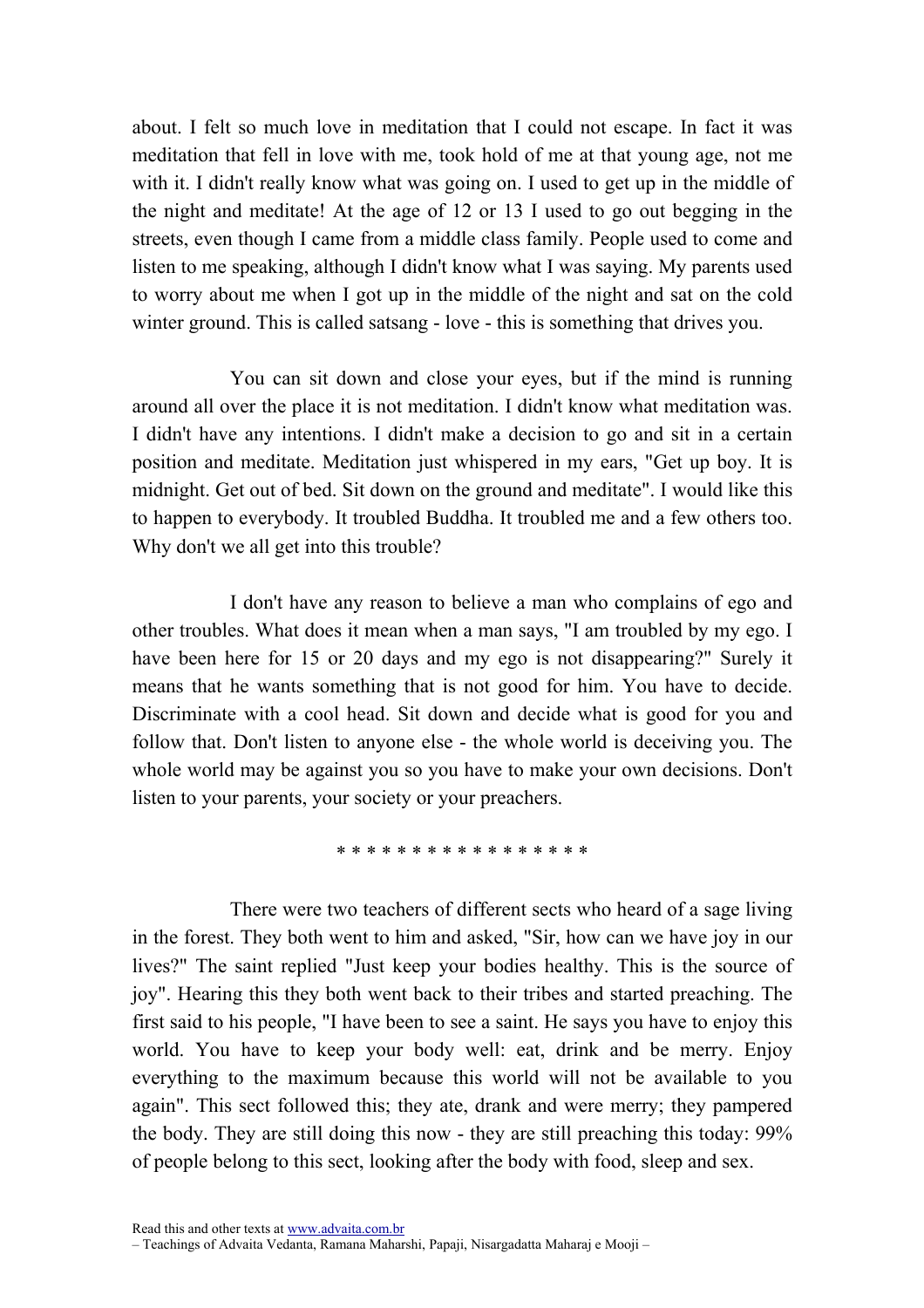about. I felt so much love in meditation that I could not escape. In fact it was meditation that fell in love with me, took hold of me at that young age, not me with it. I didn't really know what was going on. I used to get up in the middle of the night and meditate! At the age of 12 or 13 I used to go out begging in the streets, even though I came from a middle class family. People used to come and listen to me speaking, although I didn't know what I was saying. My parents used to worry about me when I got up in the middle of the night and sat on the cold winter ground. This is called satsang - love - this is something that drives you.

You can sit down and close your eyes, but if the mind is running around all over the place it is not meditation. I didn't know what meditation was. I didn't have any intentions. I didn't make a decision to go and sit in a certain position and meditate. Meditation just whispered in my ears, "Get up boy. It is midnight. Get out of bed. Sit down on the ground and meditate". I would like this to happen to everybody. It troubled Buddha. It troubled me and a few others too. Why don't we all get into this trouble?

I don't have any reason to believe a man who complains of ego and other troubles. What does it mean when a man says, "I am troubled by my ego. I have been here for 15 or 20 days and my ego is not disappearing?" Surely it means that he wants something that is not good for him. You have to decide. Discriminate with a cool head. Sit down and decide what is good for you and follow that. Don't listen to anyone else - the whole world is deceiving you. The whole world may be against you so you have to make your own decisions. Don't listen to your parents, your society or your preachers.

\* \* \* \* \* \* \* \* \* \* \* \* \* \* \* \*

There were two teachers of different sects who heard of a sage living in the forest. They both went to him and asked, "Sir, how can we have joy in our lives?" The saint replied "Just keep your bodies healthy. This is the source of joy". Hearing this they both went back to their tribes and started preaching. The first said to his people, "I have been to see a saint. He says you have to enjoy this world. You have to keep your body well: eat, drink and be merry. Enjoy everything to the maximum because this world will not be available to you again". This sect followed this; they ate, drank and were merry; they pampered the body. They are still doing this now - they are still preaching this today: 99% of people belong to this sect, looking after the body with food, sleep and sex.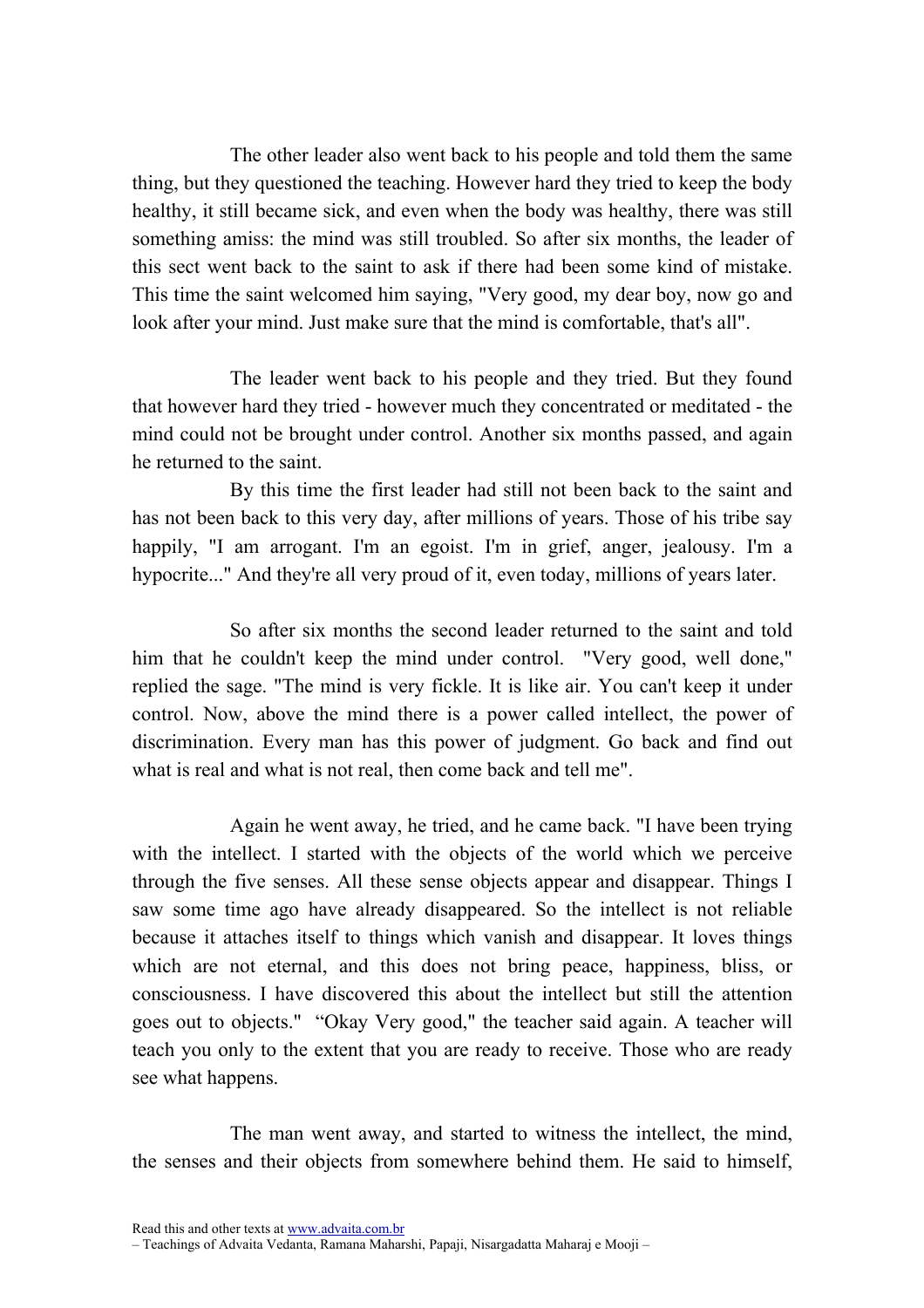The other leader also went back to his people and told them the same thing, but they questioned the teaching. However hard they tried to keep the body healthy, it still became sick, and even when the body was healthy, there was still something amiss: the mind was still troubled. So after six months, the leader of this sect went back to the saint to ask if there had been some kind of mistake. This time the saint welcomed him saying, "Very good, my dear boy, now go and look after your mind. Just make sure that the mind is comfortable, that's all".

The leader went back to his people and they tried. But they found that however hard they tried - however much they concentrated or meditated - the mind could not be brought under control. Another six months passed, and again he returned to the saint.

By this time the first leader had still not been back to the saint and has not been back to this very day, after millions of years. Those of his tribe say happily, "I am arrogant. I'm an egoist. I'm in grief, anger, jealousy. I'm a hypocrite..." And they're all very proud of it, even today, millions of years later.

So after six months the second leader returned to the saint and told him that he couldn't keep the mind under control. "Very good, well done," replied the sage. "The mind is very fickle. It is like air. You can't keep it under control. Now, above the mind there is a power called intellect, the power of discrimination. Every man has this power of judgment. Go back and find out what is real and what is not real, then come back and tell me".

Again he went away, he tried, and he came back. "I have been trying with the intellect. I started with the objects of the world which we perceive through the five senses. All these sense objects appear and disappear. Things I saw some time ago have already disappeared. So the intellect is not reliable because it attaches itself to things which vanish and disappear. It loves things which are not eternal, and this does not bring peace, happiness, bliss, or consciousness. I have discovered this about the intellect but still the attention goes out to objects." "Okay Very good," the teacher said again. A teacher will teach you only to the extent that you are ready to receive. Those who are ready see what happens.

The man went away, and started to witness the intellect, the mind, the senses and their objects from somewhere behind them. He said to himself,

<sup>–</sup> Teachings of Advaita Vedanta, Ramana Maharshi, Papaji, Nisargadatta Maharaj e Mooji –